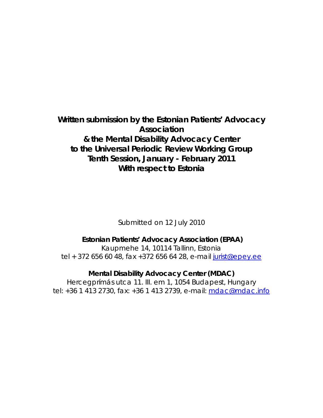# **Written submission by the Estonian Patients' Advocacy Association & the Mental Disability Advocacy Center to the Universal Periodic Review Working Group Tenth Session, January - February 2011 With respect to Estonia**

Submitted on 12 July 2010

## **Estonian Patients' Advocacy Association (EPAA)**

Kaupmehe 14, 10114 Tallinn, Estonia tel + 372 656 60 48, fax + 372 656 64 28, e-mail jurist@epey.ee

**Mental Disability Advocacy Center (MDAC)** 

Hercegprímás utca 11. III. em 1, 1054 Budapest, Hungary tel: +36 1 413 2730, fax: +36 1 413 2739, e-mail: mdac@mdac.info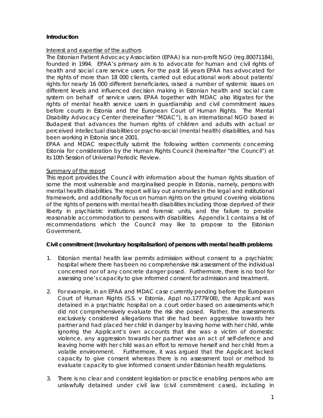#### **Introduction**

#### Interest and expertise of the authors

The Estonian Patient Advocacy Association (EPAA) is a non-profit NGO (reg.80071184), founded in 1994. EPAA's primary aim is to advocate for human and civil rights of health and social care service users. For the past 16 years EPAA has advocated for the rights of more than 18 000 clients, carried out educational work about patients' rights for nearly 16 000 different beneficiaries, raised a number of systemic issues on different levels and influenced decision making in Estonian health and social care system on behalf of service users. EPAA together with MDAC also litigates for the rights of mental health service users in guardianship and civil commitment issues before courts in Estonia and the European Court of Human Rights. The Mental Disability Advocacy Center (hereinafter "MDAC"), is an international NGO based in Budapest that advances the human rights of children and adults with actual or perceived intellectual disabilities or psycho-social (mental health) disabilities, and has been working in Estonia since 2001.

EPAA and MDAC respectfully submit the following written comments concerning Estonia for consideration by the Human Rights Council (hereinafter "the Council") at its 10th Session of Universal Periodic Review.

#### Summary of the report

This report provides the Council with information about the human rights situation of some the most vulnerable and marginalised people in Estonia, namely, persons with mental health disabilities. The report will lay out anomalies in the legal and institutional framework, and additionally focus on human rights on the ground covering violations of the rights of persons with mental health disabilities including those deprived of their liberty in psychiatric institutions and forensic units, and the failure to provide reasonable accommodation to persons with disabilities. Appendix 1 contains a list of recommendations which the Council may like to propose to the Estonian Government.

#### **Civil commitment (Involuntary hospitalisation) of persons with mental health problems**

- 1. Estonian mental health law permits admission without consent to a psychiatric hospital where there has been no comprehensive risk assessment of the individual concerned nor of any concrete danger posed. Furthermore, there is no tool for assessing one's capacity to give informed consent for admission and treatment.
- 2. For example, in an EPAA and MDAC case currently pending before the European Court of Human Rights (*S.S. v Estonia*, Appl no.17779/08), the Applicant was detained in a psychiatric hospital on a court order based on assessments which did not comprehensively evaluate the risk she posed. Rather, the assessments exclusively considered allegations that she had been aggressive towards her partner and had placed her child in danger by leaving home with her child, while ignoring the Applicant's own accounts that she was a victim of domestic violence, any aggression towards her partner was an act of self-defence and leaving home with her child was an effort to remove herself and her child from a volatile environment. Furthermore, it was argued that the Applicant lacked capacity to give consent whereas there is no assessment tool or method to evaluate capacity to give informed consent under Estonian health regulations.
- 3. There is no clear and consistent legislation or practice enabling persons who are unlawfully detained under civil law (civil commitment cases), including in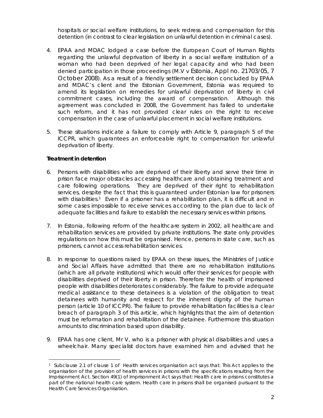hospitals or social welfare institutions, to seek redress and compensation for this detention (in contrast to clear legislation on unlawful detention in criminal cases).

- 4. EPAA and MDAC lodged a case before the European Court of Human Rights regarding the unlawful deprivation of liberty in a social welfare institution of a woman who had been deprived of her legal capacity and who had been denied participation in those proceedings (*M.V v Estonia,* Appl no. 21703/05, 7 October 2008). *As* a result of a friendly settlement decision concluded by EPAA and MDAC's client and the Estonian Government, Estonia was required to amend its legislation on remedies for unlawful deprivation of liberty in civil commitment cases, including the award of compensation. Although this agreement was concluded in 2008, the Government has failed to undertake such reform, and it has not provided clear rules on the right to receive compensation in the case of unlawful placement in social welfare institutions.
- 5. These situations indicate a failure to comply with Article 9, paragraph 5 of the ICCPR, which guarantees an enforceable right to compensation for unlawful deprivation of liberty.

#### **Treatment in detention**

l

- 6. Persons with disabilities who are deprived of their liberty and serve their time in prison face major obstacles accessing healthcare and obtaining treatment and care following operations. They are deprived of their right to rehabilitation services, despite the fact that this is guaranteed under Estonian law for prisoners with disabilities.<sup>1</sup> Even if a prisoner has a rehabilitation plan, it is difficult and in some cases impossible to receive services according to the plan due to lack of adequate facilities and failure to establish the necessary services within prisons.
- 7. In Estonia, following reform of the healthcare system in 2002, all healthcare and rehabilitation services are provided by private institutions. The state only provides regulations on how this must be organised. Hence, persons in state care, such as prisoners, cannot access rehabilitation services.
- 8. In response to questions raised by EPAA on these issues, the Ministries of Justice and Social Affairs have admitted that there are no rehabilitation institutions (which are all private institutions) which would offer their services for people with disabilities deprived of their liberty in prison. Therefore the health of imprisoned people with disabilities deteriorates considerably. The failure to provide adequate medical assistance to these detainees is a violation of the obligation to treat detainees with humanity and respect for the inherent dignity of the human person (article 10 of ICCPR). The failure to provide rehabilitation facilities is a clear breach of paragraph 3 of this article, which highlights that the aim of detention must be reformation and rehabilitation of the detainee. Furthermore this situation amounts to discrimination based upon disability.
- 9. EPAA has one client, Mr V, who is a prisoner with physical disabilities and uses a wheelchair. Many specialist doctors have examined him and advised that he

<sup>1</sup> Subclause 2.1 of clause 1 of Health services organisation act says that: This Act applies to the organisation of the provision of health services in prisons with the specifications resulting from the Imprisonment Act. Section 49(1) of Imprisonment Act says that: Health care in prisons constitutes a part of the national health care system. Health care in prisons shall be organised pursuant to the Health Care Services Organisation.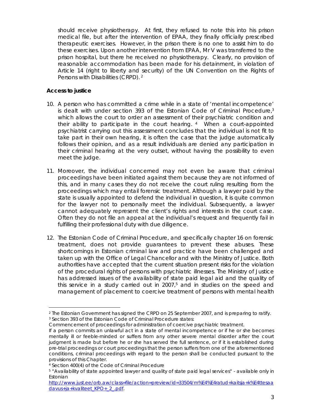should receive physiotherapy. At first, they refused to note this into his prison medical file, but after the intervention of EPAA, they finally officially prescribed therapeutic exercises. However, in the prison there is no one to assist him to do these exercises. Upon another intervention from EPAA, Mr V was transferred to the prison hospital, but there he received no physiotherapy. Clearly, no provision of reasonable accommodation has been made for his detainment, in violation of Article 14 (right to liberty and security) of the UN Convention on the Rights of Persons with Disabilities (CRPD). 2

#### **Access to justice**

- 10. A person who has committed a crime while in a state of 'mental incompetence' is dealt with under section 393 of the Estonian Code of Criminal Procedure, $3$ which allows the court to order an assessment of their psychiatric condition and their ability to participate in the court hearing. 4 When a court-appointed psychiatrist carrying out this assessment concludes that the individual is not fit to take part in their own hearing, it is often the case that the judge automatically follows their opinion, and as a result individuals are denied any participation in their criminal hearing at the very outset, without having the possibility to even meet the judge.
- 11. Moreover, the individual concerned may not even be aware that criminal proceedings have been initiated against them because they are not informed of this, and in many cases they do not receive the court ruling resulting from the proceedings which may entail forensic treatment. Although a lawyer paid by the state is usually appointed to defend the individual in question, it is quite common for the lawyer not to personally meet the individual. Subsequently, a lawyer cannot adequately represent the client's rights and interests in the court case. Often they do not file an appeal at the individual's request and frequently fail in fulfilling their professional duty with due diligence.
- 12. The Estonian Code of Criminal Procedure, and specifically chapter 16 on forensic treatment, does not provide guarantees to prevent these abuses. These shortcomings in Estonian criminal law and practice have been challenged and taken up with the Office of Legal Chancellor and with the Ministry of Justice. Both authorities have accepted that the current situation present risks for the violation of the procedural rights of persons with psychiatric illnesses. The Ministry of Justice has addressed issues of the availability of state paid legal aid and the quality of this service in a study carried out in  $2007$ ,<sup>5</sup> and in studies on the speed and management of placement to coercive treatment of persons with mental health

l 2 The Estonian Government has signed the CRPD on 25 September 2007, and is preparing to ratify. 3 Section 393 of the Estonian Code of Criminal Procedure states:

Commencement of proceedings for administration of coercive psychiatric treatment.

If a person commits an unlawful act in a state of mental incompetence or if he or she becomes mentally ill or feeble-minded or suffers from any other severe mental disorder after the court judgment is made but before he or she has served the full sentence, or if it is established during pre-trial proceedings or court proceedings that the person suffers from one of the aforementioned conditions, criminal proceedings with regard to the person shall be conducted pursuant to the provisions of this Chapter.

<sup>4</sup> Section 400(4) of the Code of Criminal Procedure

<sup>5 &</sup>quot;Availability of state appointed lawyer and quality of state paid legal services" - available only in Estonian

http://www.just.ee/orb.aw/class=file/action=preview/id=33504/m%E4%E4ratud+kaitsja+k%E4ttesaa davus+ja+kvaliteet\_KPO+\_2\_.pdf.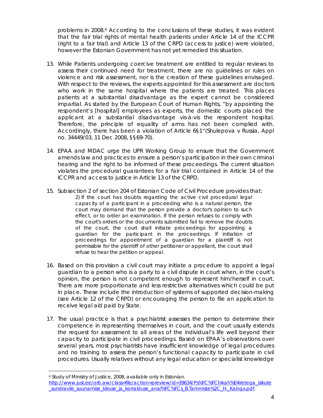problems in 2008.<sup>6</sup> According to the conclusions of these studies, it was evident that the fair trial rights of mental health patients under Article 14 of the ICCPR (right to a fair trial) and Article 13 of the CRPD (access to justice) were violated, however the Estonian Government has not yet remedied this situation.

- 13. While Patients undergoing coercive treatment are entitled to regular reviews to assess their continued need for treatment, there are no guidelines or rules on violence and risk assessment, nor is the creation of these guidelines envisaged. With respect to the reviews, the experts appointed for this assessment are doctors who work in the same hospital where the patients are treated. This places patients at a substantial disadvantage as the expert cannot be considered impartial. As stated by the European Court of Human Rights, "by appointing the respondent's [hospital] employees as experts, the domestic courts placed the applicant at a substantial disadvantage *vis-à-vis* the respondent hospital. Therefore, the principle of equality of arms has not been complied with. Accordingly, there has been a violation of Article 6§1"(*Shulepova v Russia,* Appl no. 34449/03, 11 Dec 2008, §§69-70).
- 14. EPAA and MDAC urge the UPR Working Group to ensure that the Government amends law and practices to ensure a person's participation in their own criminal hearing and the right to be informed of these proceedings. The current situation violates the procedural guarantees for a fair trial contained in Article 14 of the ICCPR and access to justice in Article 13 of the CRPD.
- 15. Subsection 2 of section 204 of Estonian Code of Civil Procedure provides that: *2) If the court has doubts regarding the active civil procedural legal capacity of a participant in a proceeding who is a natural person, the court may demand that the person provide a doctor's opinion to such effect, or to order an examination. If the person refuses to comply with the court's orders or the documents submitted fail to remove the doubts of the court, the court shall initiate proceedings for appointing a guardian for the participant in the proceedings. If initiation of proceedings for appointment of a guardian for a plaintiff is not permissible for the plaintiff of other petitioner or appellant, the court shall refuse to hear the petition or appeal.*
- 16. Based on this provision a civil court may initiate a procedure to appoint a legal guardian to a person who is a party to a civil dispute in court when, in the court's opinion, the person is not competent enough to represent him/herself in court. There are more proportionate and less restrictive alternatives which could be put in place. These include the introduction of systems of supported decision-making (see Article 12 of the CRPD) or encouraging the person to file an application to receive legal aid paid by State.
- 17. The usual practice is that a psychiatrist assesses the person to determine their competence in representing themselves in court, and the court usually extends the request for assessment to all areas of the individual's life well beyond their capacity to participate in civil proceedings. Based on EPAA's observations over several years, most psychiatrists have insufficient knowledge of legal procedures and no training to assess the person's functional capacity to participate in civil procedures. Usually relatives without any legal education or specialist knowledge

l

<sup>6</sup> Study of Ministry of Justice, 2008, available only in Estonian.

http://www.just.ee/orb.aw/class=file/action=preview/id=39634/Ps%FC%FChikah%E4iretega\_isikute \_sundravile\_suunamise\_kiiruse\_ja\_korralduse\_anal%FC%FCs\_B.Tammiste%2C\_H.\_Kaingx.pdf.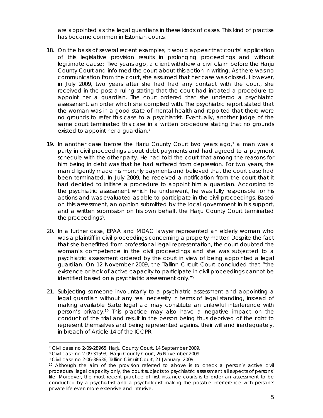are appointed as the legal guardians in these kinds of cases. This kind of practise has become common in Estonian courts.

- 18. On the basis of several recent examples, it would appear that courts' application of this legislative provision results in prolonging proceedings and without legitimate cause: Two years ago, a client withdrew a civil claim before the Harju County Court and informed the court about this action in writing. As there was no communication from the court, she assumed that her case was closed. However, in July 2009, two years after she had had any contact with the court, she received in the post a ruling stating that the court had initiated a procedure to appoint her a guardian. The court ordered that she undergo a psychiatric assessment, an order which she complied with. The psychiatric report stated that the woman was in a good state of mental health and reported that there were no grounds to refer this case to a psychiatrist. Eventually, another judge of the same court terminated this case in a written procedure stating that no grounds existed to appoint her a guardian.<sup>7</sup>
- 19. In another case before the Harju County Court two years ago, $3$  a man was a party in civil proceedings about debt payments and had agreed to a payment schedule with the other party. He had told the court that among the reasons for him being in debt was that he had suffered from depression. For two years, the man diligently made his monthly payments and believed that the court case had been terminated. In July 2009, he received a notification from the court that it had decided to initiate a procedure to appoint him a guardian. According to the psychiatric assessment which he underwent, he was fully responsible for his actions and was evaluated as able to participate in the civil proceedings. Based on this assessment, an opinion submitted by the local government in his support, and a written submission on his own behalf, the Harju County Court terminated the proceedings<sup>8</sup>.
- 20. In a further case, EPAA and MDAC lawyer represented an elderly woman who was a plaintiff in civil proceedings concerning a property matter. Despite the fact that she benefitted from professional legal representation, the court doubted the woman's competence in the civil proceedings and she was subjected to a psychiatric assessment ordered by the court in view of being appointed a legal guardian. On 12 November 2009, the Tallinn Circuit Court concluded that "the existence or lack of active capacity to participate in civil proceedings cannot be identified based on a psychiatric assessment only."<sup>9</sup>
- 21. Subjecting someone involuntarily to a psychiatric assessment and appointing a legal guardian without any real necessity in terms of legal standing, instead of making available State legal aid may constitute an unlawful interference with person's privacy.10 This practice may also have a negative impact on the conduct of the trial and result in the person being thus deprived of the right to represent themselves and being represented against their will and inadequately, in breach of Article 14 of the ICCPR.

<sup>7</sup> Civil case no 2-09-28965, Harju County Court, 14 September 2009.

<sup>8</sup> Civil case no 2-09-31593, Harju County Court, 26 November 2009.

<sup>9</sup> Civil case no 2-06-38636, Tallinn Circuit Court, 21 January 2009.

<sup>10</sup> Although the aim of the provision referred to above is to check a person's active civil procedural legal capacity only, the court subjects to psychiatric assessment all aspects of persons' life. Moreover, the most recent practice of first instance courts is to order an assessment to be conducted by a psychiatrist and a psychologist making the possible interference with person's private life even more extensive and intrusive.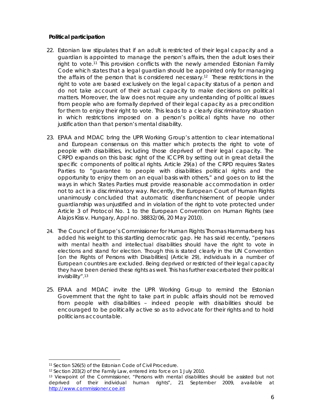#### **Political participation**

- 22. Estonian law stipulates that if an adult is restricted of their legal capacity and a guardian is appointed to manage the person's affairs, then the adult loses their right to vote.11 This provision conflicts with the newly amended Estonian Family Code which states that a legal guardian should be appointed only for managing the affairs of the person that is considered necessary.12 These restrictions in the right to vote are based exclusively on the legal capacity status of a person and do not take account of their actual capacity to make decisions on political matters. Moreover, the law does not require any understanding of political issues from people who are formally deprived of their legal capacity as a precondition for them to enjoy their right to vote. This leads to a clearly discriminatory situation in which restrictions imposed on a person's political rights have no other justification than that person's mental disability.
- 23. EPAA and MDAC bring the UPR Working Group's attention to clear international and European consensus on this matter which protects the right to vote of people with disabilities, including those deprived of their legal capacity. The CRPD expands on this basic right of the ICCPR by setting out in great detail the specific components of political rights. Article 29(a) of the CRPD requires States Parties to "guarantee to people with disabilities political rights and the opportunity to enjoy them on an equal basis with others," and goes on to list the ways in which States Parties must provide reasonable accommodation in order not to act in a discriminatory way. Recently, the European Court of Human Rights unanimously concluded that automatic disenfranchisement of people under guardianship was unjustified and in violation of the right to vote protected under Article 3 of Protocol No. 1 to the European Convention on Human Rights (see *Alajos Kiss v. Hungary*, Appl no. 38832/06, 20 May 2010).
- 24. The Council of Europe's Commissioner for Human Rights Thomas Hammarberg has added his weight to this startling democratic gap. He has said recently, "persons with mental health and intellectual disabilities should have the right to vote in elections and stand for election. Though this is stated clearly in the UN Convention [on the Rights of Persons with Disabilities] (Article 29), individuals in a number of European countries are excluded. Being deprived or restricted of their legal capacity they have been denied these rights as well. This has further exacerbated their political invisibility".13
- 25. EPAA and MDAC invite the UPR Working Group to remind the Estonian Government that the right to take part in public affairs should not be removed from people with disabilities – indeed people with disabilities should be encouraged to be politically active so as to advocate for their rights and to hold politicians accountable.

l

<sup>11</sup> Section 526(5) of the Estonian Code of Civil Procedure.

<sup>12</sup> Section 203(2) of the Family Law, entered into force on 1 July 2010.

<sup>13</sup> Viewpoint of the Commissioner, "Persons with mental disabilities should be assisted but not deprived of their individual human rights", 21 September 2009, available at http://www.commissioner.coe.int